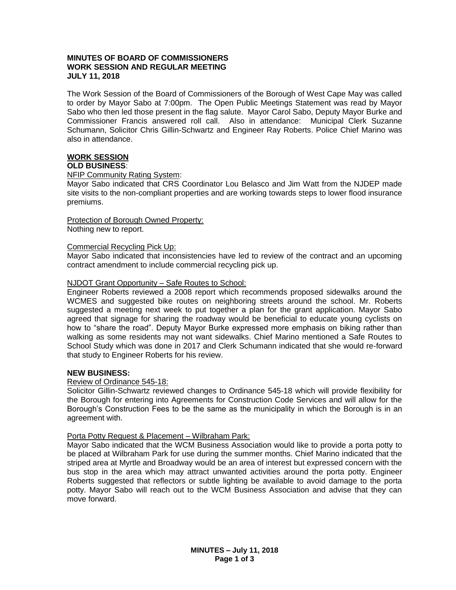# **MINUTES OF BOARD OF COMMISSIONERS WORK SESSION AND REGULAR MEETING JULY 11, 2018**

The Work Session of the Board of Commissioners of the Borough of West Cape May was called to order by Mayor Sabo at 7:00pm. The Open Public Meetings Statement was read by Mayor Sabo who then led those present in the flag salute. Mayor Carol Sabo, Deputy Mayor Burke and Commissioner Francis answered roll call. Also in attendance: Municipal Clerk Suzanne Schumann, Solicitor Chris Gillin-Schwartz and Engineer Ray Roberts. Police Chief Marino was also in attendance.

#### **WORK SESSION OLD BUSINESS**:

#### NFIP Community Rating System:

Mayor Sabo indicated that CRS Coordinator Lou Belasco and Jim Watt from the NJDEP made site visits to the non-compliant properties and are working towards steps to lower flood insurance premiums.

Protection of Borough Owned Property: Nothing new to report.

#### Commercial Recycling Pick Up:

Mayor Sabo indicated that inconsistencies have led to review of the contract and an upcoming contract amendment to include commercial recycling pick up.

#### NJDOT Grant Opportunity – Safe Routes to School:

Engineer Roberts reviewed a 2008 report which recommends proposed sidewalks around the WCMES and suggested bike routes on neighboring streets around the school. Mr. Roberts suggested a meeting next week to put together a plan for the grant application. Mayor Sabo agreed that signage for sharing the roadway would be beneficial to educate young cyclists on how to "share the road". Deputy Mayor Burke expressed more emphasis on biking rather than walking as some residents may not want sidewalks. Chief Marino mentioned a Safe Routes to School Study which was done in 2017 and Clerk Schumann indicated that she would re-forward that study to Engineer Roberts for his review.

# **NEW BUSINESS:**

#### Review of Ordinance 545-18:

Solicitor Gillin-Schwartz reviewed changes to Ordinance 545-18 which will provide flexibility for the Borough for entering into Agreements for Construction Code Services and will allow for the Borough's Construction Fees to be the same as the municipality in which the Borough is in an agreement with.

#### Porta Potty Request & Placement – Wilbraham Park:

Mayor Sabo indicated that the WCM Business Association would like to provide a porta potty to be placed at Wilbraham Park for use during the summer months. Chief Marino indicated that the striped area at Myrtle and Broadway would be an area of interest but expressed concern with the bus stop in the area which may attract unwanted activities around the porta potty. Engineer Roberts suggested that reflectors or subtle lighting be available to avoid damage to the porta potty. Mayor Sabo will reach out to the WCM Business Association and advise that they can move forward.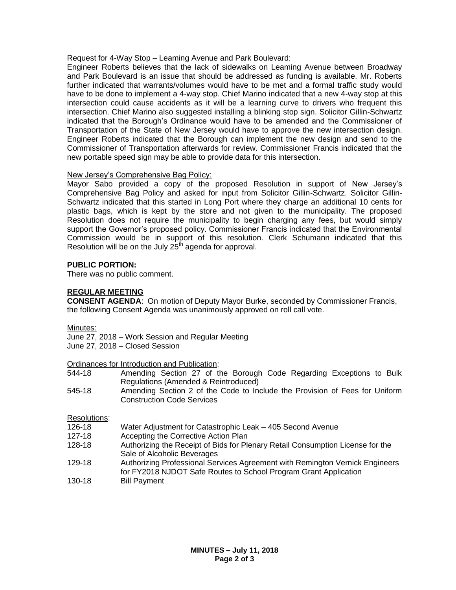# Request for 4-Way Stop – Leaming Avenue and Park Boulevard:

Engineer Roberts believes that the lack of sidewalks on Leaming Avenue between Broadway and Park Boulevard is an issue that should be addressed as funding is available. Mr. Roberts further indicated that warrants/volumes would have to be met and a formal traffic study would have to be done to implement a 4-way stop. Chief Marino indicated that a new 4-way stop at this intersection could cause accidents as it will be a learning curve to drivers who frequent this intersection. Chief Marino also suggested installing a blinking stop sign. Solicitor Gillin-Schwartz indicated that the Borough's Ordinance would have to be amended and the Commissioner of Transportation of the State of New Jersey would have to approve the new intersection design. Engineer Roberts indicated that the Borough can implement the new design and send to the Commissioner of Transportation afterwards for review. Commissioner Francis indicated that the new portable speed sign may be able to provide data for this intersection.

# New Jersey's Comprehensive Bag Policy:

Mayor Sabo provided a copy of the proposed Resolution in support of New Jersey's Comprehensive Bag Policy and asked for input from Solicitor Gillin-Schwartz. Solicitor Gillin-Schwartz indicated that this started in Long Port where they charge an additional 10 cents for plastic bags, which is kept by the store and not given to the municipality. The proposed Resolution does not require the municipality to begin charging any fees, but would simply support the Governor's proposed policy. Commissioner Francis indicated that the Environmental Commission would be in support of this resolution. Clerk Schumann indicated that this Resolution will be on the July  $25<sup>th</sup>$  agenda for approval.

# **PUBLIC PORTION:**

There was no public comment.

# **REGULAR MEETING**

**CONSENT AGENDA**: On motion of Deputy Mayor Burke, seconded by Commissioner Francis, the following Consent Agenda was unanimously approved on roll call vote.

Minutes:

June 27, 2018 – Work Session and Regular Meeting June 27, 2018 – Closed Session

Ordinances for Introduction and Publication:

- 544-18 Amending Section 27 of the Borough Code Regarding Exceptions to Bulk Regulations (Amended & Reintroduced)
- 545-18 Amending Section 2 of the Code to Include the Provision of Fees for Uniform Construction Code Services

Resolutions:

- 126-18 Water Adjustment for Catastrophic Leak 405 Second Avenue
- 127-18 Accepting the Corrective Action Plan
- 128-18 Authorizing the Receipt of Bids for Plenary Retail Consumption License for the Sale of Alcoholic Beverages
- 129-18 Authorizing Professional Services Agreement with Remington Vernick Engineers for FY2018 NJDOT Safe Routes to School Program Grant Application
- 130-18 Bill Payment